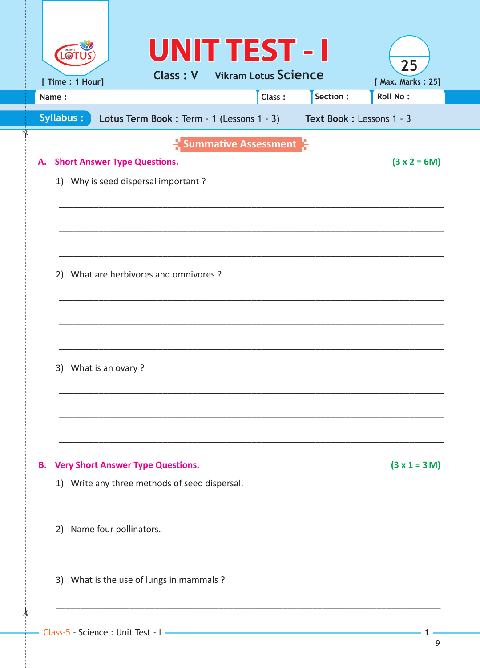|    | <b>LOT</b> |                                               |  |  | <b>UNIT TEST - I</b>                 |                                                                    | 25                |
|----|------------|-----------------------------------------------|--|--|--------------------------------------|--------------------------------------------------------------------|-------------------|
|    |            | [ Time : 1 Hour]                              |  |  | <b>Class: V</b> Vikram Lotus Science |                                                                    | [ Max. Marks: 25] |
|    | Name:      |                                               |  |  | Class:                               | Section :                                                          | Roll No:          |
|    |            | Syllabus:                                     |  |  |                                      | Lotus Term Book: Term - 1 (Lessons 1 - 3) Text Book: Lessons 1 - 3 |                   |
|    |            |                                               |  |  | <b>Summative Assessment</b>          |                                                                    |                   |
| А. |            | <b>Short Answer Type Questions.</b>           |  |  |                                      |                                                                    | $(3 x 2 = 6M)$    |
|    |            | 1) Why is seed dispersal important?           |  |  |                                      |                                                                    |                   |
|    |            |                                               |  |  |                                      |                                                                    |                   |
|    |            |                                               |  |  |                                      |                                                                    |                   |
|    |            |                                               |  |  |                                      |                                                                    |                   |
|    |            | 2) What are herbivores and omnivores?         |  |  |                                      |                                                                    |                   |
|    |            |                                               |  |  |                                      |                                                                    |                   |
|    |            |                                               |  |  |                                      |                                                                    |                   |
|    |            |                                               |  |  |                                      |                                                                    |                   |
|    |            |                                               |  |  |                                      |                                                                    |                   |
|    |            | 3) What is an ovary?                          |  |  |                                      |                                                                    |                   |
|    |            |                                               |  |  |                                      |                                                                    |                   |
|    |            |                                               |  |  |                                      |                                                                    |                   |
|    |            |                                               |  |  |                                      |                                                                    |                   |
|    |            |                                               |  |  |                                      |                                                                    |                   |
| В. |            | <b>Very Short Answer Type Questions.</b>      |  |  |                                      |                                                                    | $(3 x 1 = 3 M)$   |
|    |            | 1) Write any three methods of seed dispersal. |  |  |                                      |                                                                    |                   |
|    |            |                                               |  |  |                                      |                                                                    |                   |
|    |            | 2) Name four pollinators.                     |  |  |                                      |                                                                    |                   |
|    |            |                                               |  |  |                                      |                                                                    |                   |
|    |            |                                               |  |  |                                      |                                                                    |                   |
|    |            | 3) What is the use of lungs in mammals ?      |  |  |                                      |                                                                    |                   |
|    |            |                                               |  |  |                                      |                                                                    |                   |
|    |            |                                               |  |  |                                      |                                                                    |                   |